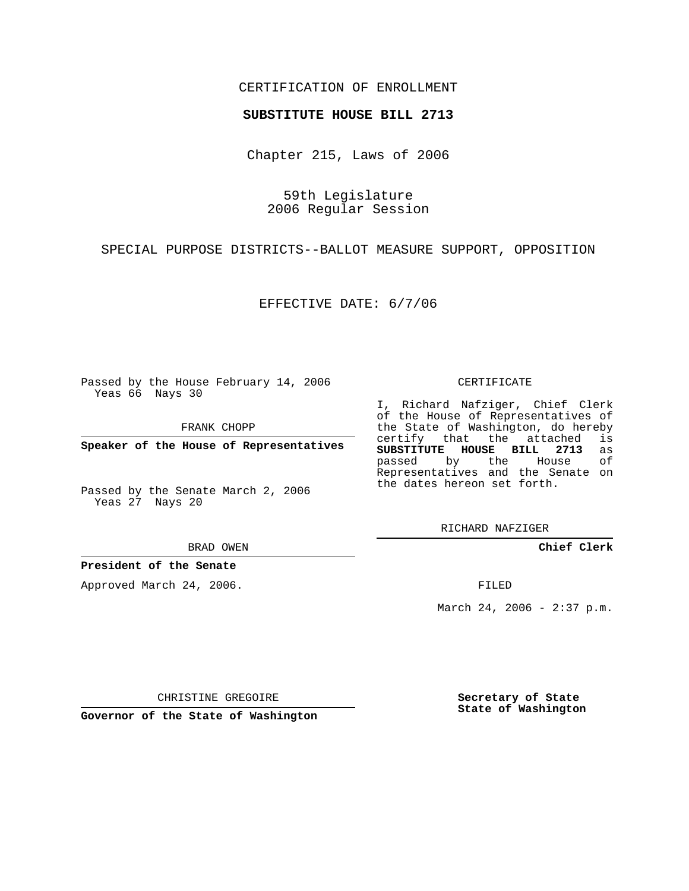### CERTIFICATION OF ENROLLMENT

#### **SUBSTITUTE HOUSE BILL 2713**

Chapter 215, Laws of 2006

59th Legislature 2006 Regular Session

SPECIAL PURPOSE DISTRICTS--BALLOT MEASURE SUPPORT, OPPOSITION

EFFECTIVE DATE: 6/7/06

Passed by the House February 14, 2006 Yeas 66 Nays 30

FRANK CHOPP

**Speaker of the House of Representatives**

Passed by the Senate March 2, 2006 Yeas 27 Nays 20

BRAD OWEN

#### **President of the Senate**

Approved March 24, 2006.

CERTIFICATE

I, Richard Nafziger, Chief Clerk of the House of Representatives of the State of Washington, do hereby<br>certify that the attached is certify that the attached **SUBSTITUTE HOUSE BILL 2713** as passed by the Representatives and the Senate on the dates hereon set forth.

RICHARD NAFZIGER

**Chief Clerk**

FILED

March 24, 2006 - 2:37 p.m.

CHRISTINE GREGOIRE

**Governor of the State of Washington**

**Secretary of State State of Washington**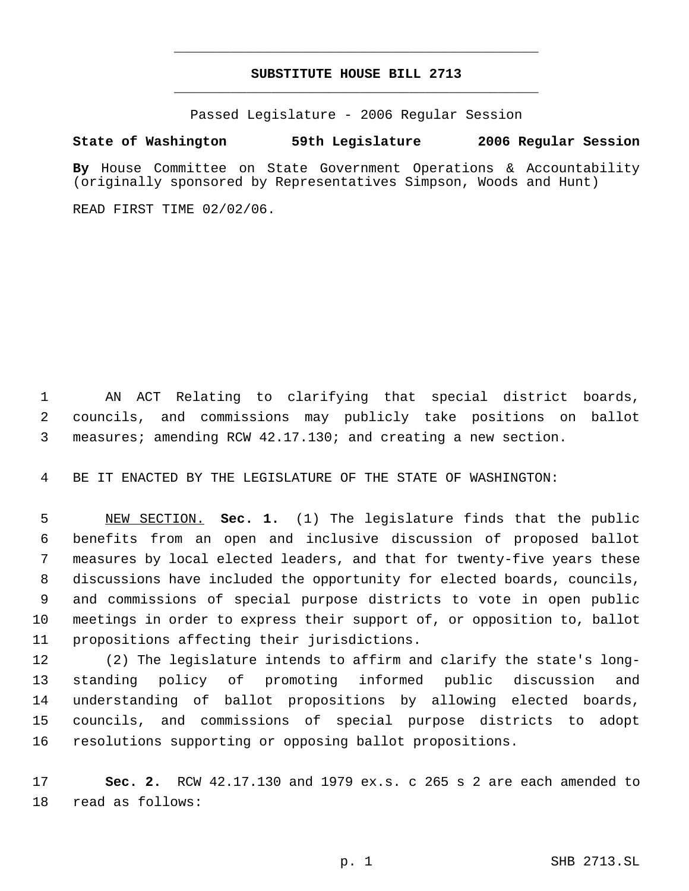# **SUBSTITUTE HOUSE BILL 2713** \_\_\_\_\_\_\_\_\_\_\_\_\_\_\_\_\_\_\_\_\_\_\_\_\_\_\_\_\_\_\_\_\_\_\_\_\_\_\_\_\_\_\_\_\_

\_\_\_\_\_\_\_\_\_\_\_\_\_\_\_\_\_\_\_\_\_\_\_\_\_\_\_\_\_\_\_\_\_\_\_\_\_\_\_\_\_\_\_\_\_

Passed Legislature - 2006 Regular Session

## **State of Washington 59th Legislature 2006 Regular Session**

**By** House Committee on State Government Operations & Accountability (originally sponsored by Representatives Simpson, Woods and Hunt)

READ FIRST TIME 02/02/06.

 AN ACT Relating to clarifying that special district boards, councils, and commissions may publicly take positions on ballot measures; amending RCW 42.17.130; and creating a new section.

BE IT ENACTED BY THE LEGISLATURE OF THE STATE OF WASHINGTON:

 NEW SECTION. **Sec. 1.** (1) The legislature finds that the public benefits from an open and inclusive discussion of proposed ballot measures by local elected leaders, and that for twenty-five years these discussions have included the opportunity for elected boards, councils, and commissions of special purpose districts to vote in open public meetings in order to express their support of, or opposition to, ballot propositions affecting their jurisdictions.

 (2) The legislature intends to affirm and clarify the state's long- standing policy of promoting informed public discussion and understanding of ballot propositions by allowing elected boards, councils, and commissions of special purpose districts to adopt resolutions supporting or opposing ballot propositions.

 **Sec. 2.** RCW 42.17.130 and 1979 ex.s. c 265 s 2 are each amended to read as follows: